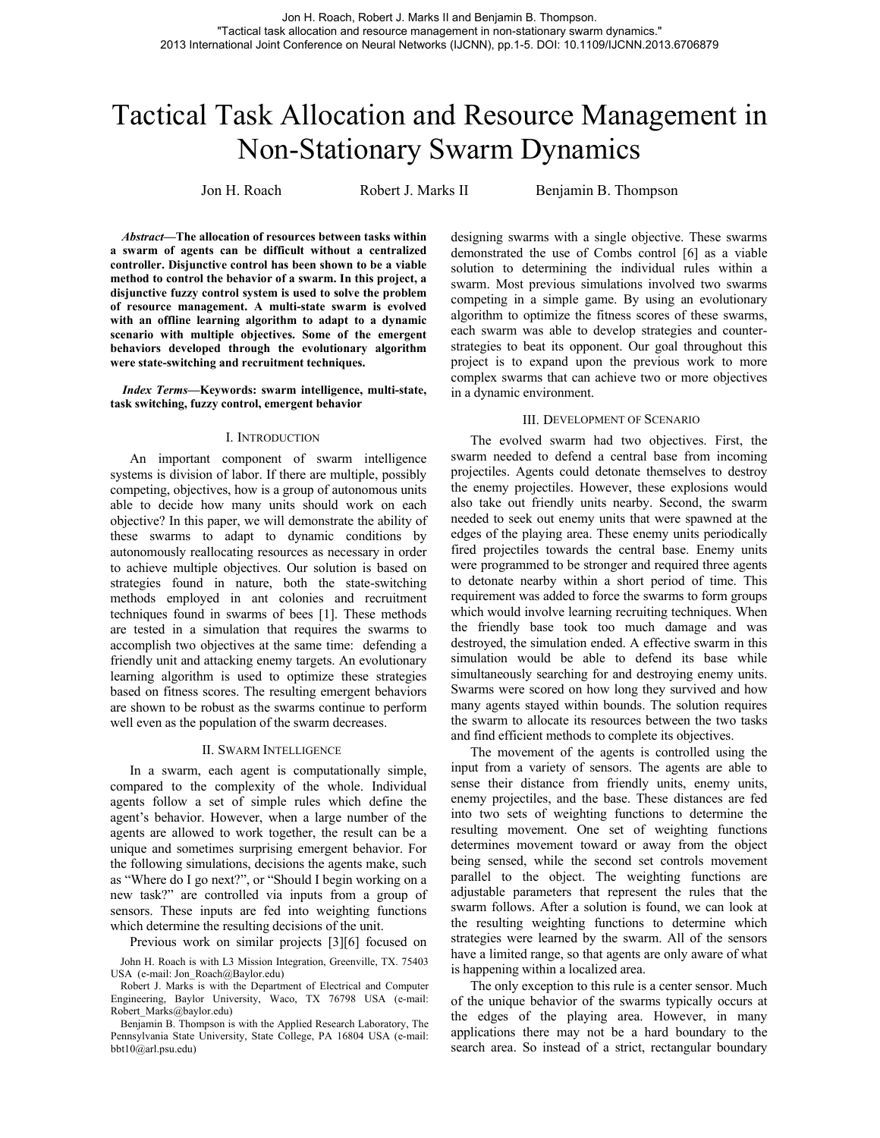# Tactical Task Allocation and Resource Management in Non-Stationary Swarm Dynamics

Jon H. Roach Robert J. Marks II Benjamin B. Thompson

*Abstract***—The allocation of resources between tasks within a swarm of agents can be difficult without a centralized controller. Disjunctive control has been shown to be a viable method to control the behavior of a swarm. In this project, a disjunctive fuzzy control system is used to solve the problem of resource management. A multi-state swarm is evolved with an offline learning algorithm to adapt to a dynamic scenario with multiple objectives. Some of the emergent behaviors developed through the evolutionary algorithm were state-switching and recruitment techniques.**

*Index Terms***—Keywords: swarm intelligence, multi-state, task switching, fuzzy control, emergent behavior** 

#### I. INTRODUCTION

An important component of swarm intelligence systems is division of labor. If there are multiple, possibly competing, objectives, how is a group of autonomous units able to decide how many units should work on each objective? In this paper, we will demonstrate the ability of these swarms to adapt to dynamic conditions by autonomously reallocating resources as necessary in order to achieve multiple objectives. Our solution is based on strategies found in nature, both the state-switching methods employed in ant colonies and recruitment techniques found in swarms of bees [1]. These methods are tested in a simulation that requires the swarms to accomplish two objectives at the same time: defending a friendly unit and attacking enemy targets. An evolutionary learning algorithm is used to optimize these strategies based on fitness scores. The resulting emergent behaviors are shown to be robust as the swarms continue to perform well even as the population of the swarm decreases.

# II. SWARM INTELLIGENCE

In a swarm, each agent is computationally simple, compared to the complexity of the whole. Individual agents follow a set of simple rules which define the agent's behavior. However, when a large number of the agents are allowed to work together, the result can be a unique and sometimes surprising emergent behavior. For the following simulations, decisions the agents make, such as "Where do I go next?", or "Should I begin working on a new task?" are controlled via inputs from a group of sensors. These inputs are fed into weighting functions which determine the resulting decisions of the unit.

Previous work on similar projects [3][6] focused on

designing swarms with a single objective. These swarms demonstrated the use of Combs control [6] as a viable solution to determining the individual rules within a swarm. Most previous simulations involved two swarms competing in a simple game. By using an evolutionary algorithm to optimize the fitness scores of these swarms, each swarm was able to develop strategies and counterstrategies to beat its opponent. Our goal throughout this project is to expand upon the previous work to more complex swarms that can achieve two or more objectives in a dynamic environment.

## III. DEVELOPMENT OF SCENARIO

The evolved swarm had two objectives. First, the swarm needed to defend a central base from incoming projectiles. Agents could detonate themselves to destroy the enemy projectiles. However, these explosions would also take out friendly units nearby. Second, the swarm needed to seek out enemy units that were spawned at the edges of the playing area. These enemy units periodically fired projectiles towards the central base. Enemy units were programmed to be stronger and required three agents to detonate nearby within a short period of time. This requirement was added to force the swarms to form groups which would involve learning recruiting techniques. When the friendly base took too much damage and was destroyed, the simulation ended. A effective swarm in this simulation would be able to defend its base while simultaneously searching for and destroying enemy units. Swarms were scored on how long they survived and how many agents stayed within bounds. The solution requires the swarm to allocate its resources between the two tasks and find efficient methods to complete its objectives.

The movement of the agents is controlled using the input from a variety of sensors. The agents are able to sense their distance from friendly units, enemy units, enemy projectiles, and the base. These distances are fed into two sets of weighting functions to determine the resulting movement. One set of weighting functions determines movement toward or away from the object being sensed, while the second set controls movement parallel to the object. The weighting functions are adjustable parameters that represent the rules that the swarm follows. After a solution is found, we can look at the resulting weighting functions to determine which strategies were learned by the swarm. All of the sensors have a limited range, so that agents are only aware of what is happening within a localized area.

The only exception to this rule is a center sensor. Much of the unique behavior of the swarms typically occurs at the edges of the playing area. However, in many applications there may not be a hard boundary to the search area. So instead of a strict, rectangular boundary

John H. Roach is with L3 Mission Integration, Greenville, TX. 75403 USA (e-mail: Jon\_Roach@Baylor.edu)

Robert J. Marks is with the Department of Electrical and Computer Engineering, Baylor University, Waco, TX 76798 USA (e-mail: Robert\_Marks@baylor.edu)

Benjamin B. Thompson is with the Applied Research Laboratory, The Pennsylvania State University, State College, PA 16804 USA (e-mail: bbt10@arl.psu.edu)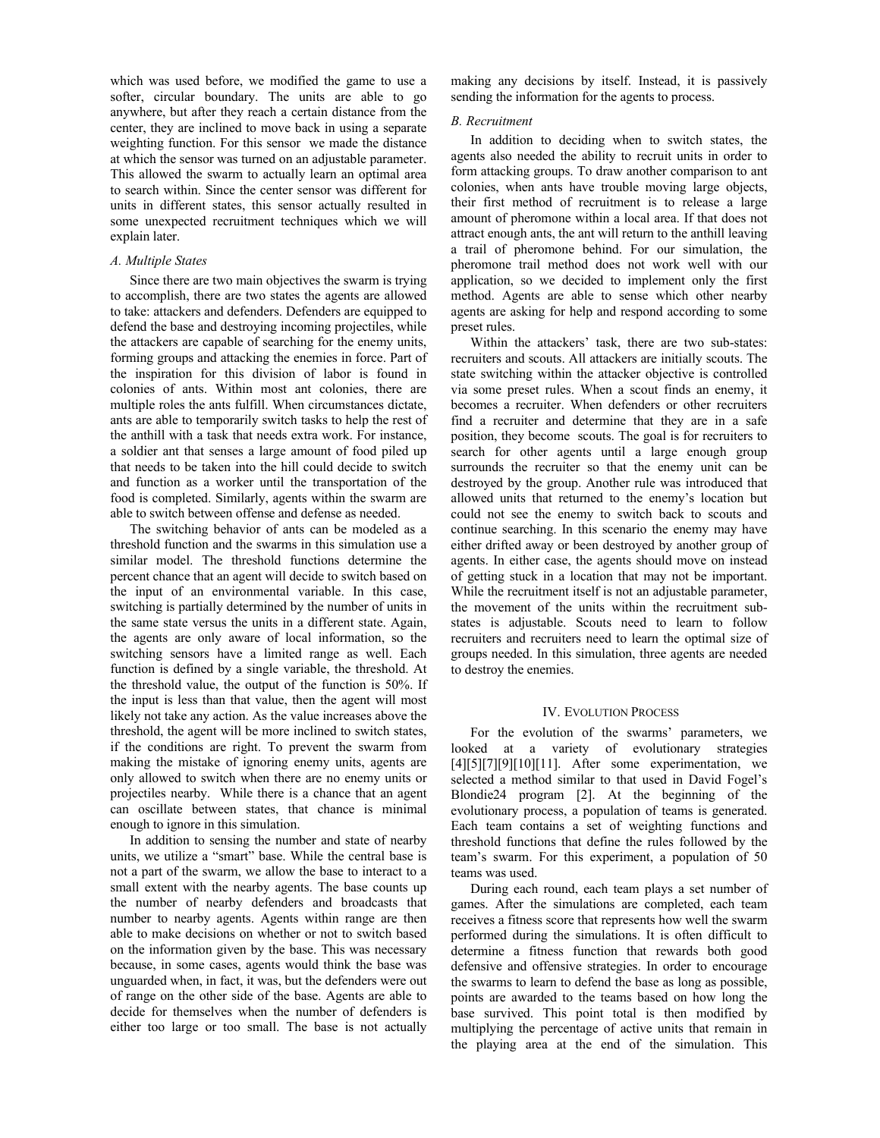which was used before, we modified the game to use a softer, circular boundary. The units are able to go anywhere, but after they reach a certain distance from the center, they are inclined to move back in using a separate weighting function. For this sensor we made the distance at which the sensor was turned on an adjustable parameter. This allowed the swarm to actually learn an optimal area to search within. Since the center sensor was different for units in different states, this sensor actually resulted in some unexpected recruitment techniques which we will explain later.

### *A. Multiple States*

Since there are two main objectives the swarm is trying to accomplish, there are two states the agents are allowed to take: attackers and defenders. Defenders are equipped to defend the base and destroying incoming projectiles, while the attackers are capable of searching for the enemy units, forming groups and attacking the enemies in force. Part of the inspiration for this division of labor is found in colonies of ants. Within most ant colonies, there are multiple roles the ants fulfill. When circumstances dictate, ants are able to temporarily switch tasks to help the rest of the anthill with a task that needs extra work. For instance, a soldier ant that senses a large amount of food piled up that needs to be taken into the hill could decide to switch and function as a worker until the transportation of the food is completed. Similarly, agents within the swarm are able to switch between offense and defense as needed.

The switching behavior of ants can be modeled as a threshold function and the swarms in this simulation use a similar model. The threshold functions determine the percent chance that an agent will decide to switch based on the input of an environmental variable. In this case, switching is partially determined by the number of units in the same state versus the units in a different state. Again, the agents are only aware of local information, so the switching sensors have a limited range as well. Each function is defined by a single variable, the threshold. At the threshold value, the output of the function is 50%. If the input is less than that value, then the agent will most likely not take any action. As the value increases above the threshold, the agent will be more inclined to switch states, if the conditions are right. To prevent the swarm from making the mistake of ignoring enemy units, agents are only allowed to switch when there are no enemy units or projectiles nearby. While there is a chance that an agent can oscillate between states, that chance is minimal enough to ignore in this simulation.

In addition to sensing the number and state of nearby units, we utilize a "smart" base. While the central base is not a part of the swarm, we allow the base to interact to a small extent with the nearby agents. The base counts up the number of nearby defenders and broadcasts that number to nearby agents. Agents within range are then able to make decisions on whether or not to switch based on the information given by the base. This was necessary because, in some cases, agents would think the base was unguarded when, in fact, it was, but the defenders were out of range on the other side of the base. Agents are able to decide for themselves when the number of defenders is either too large or too small. The base is not actually

making any decisions by itself. Instead, it is passively sending the information for the agents to process.

#### *B. Recruitment*

In addition to deciding when to switch states, the agents also needed the ability to recruit units in order to form attacking groups. To draw another comparison to ant colonies, when ants have trouble moving large objects, their first method of recruitment is to release a large amount of pheromone within a local area. If that does not attract enough ants, the ant will return to the anthill leaving a trail of pheromone behind. For our simulation, the pheromone trail method does not work well with our application, so we decided to implement only the first method. Agents are able to sense which other nearby agents are asking for help and respond according to some preset rules.

Within the attackers' task, there are two sub-states: recruiters and scouts. All attackers are initially scouts. The state switching within the attacker objective is controlled via some preset rules. When a scout finds an enemy, it becomes a recruiter. When defenders or other recruiters find a recruiter and determine that they are in a safe position, they become scouts. The goal is for recruiters to search for other agents until a large enough group surrounds the recruiter so that the enemy unit can be destroyed by the group. Another rule was introduced that allowed units that returned to the enemy's location but could not see the enemy to switch back to scouts and continue searching. In this scenario the enemy may have either drifted away or been destroyed by another group of agents. In either case, the agents should move on instead of getting stuck in a location that may not be important. While the recruitment itself is not an adjustable parameter, the movement of the units within the recruitment substates is adjustable. Scouts need to learn to follow recruiters and recruiters need to learn the optimal size of groups needed. In this simulation, three agents are needed to destroy the enemies.

### IV. EVOLUTION PROCESS

For the evolution of the swarms' parameters, we looked at a variety of evolutionary strategies  $[4][5][7][9][10][11]$ . After some experimentation, we selected a method similar to that used in David Fogel's Blondie24 program [2]. At the beginning of the evolutionary process, a population of teams is generated. Each team contains a set of weighting functions and threshold functions that define the rules followed by the team's swarm. For this experiment, a population of 50 teams was used.

During each round, each team plays a set number of games. After the simulations are completed, each team receives a fitness score that represents how well the swarm performed during the simulations. It is often difficult to determine a fitness function that rewards both good defensive and offensive strategies. In order to encourage the swarms to learn to defend the base as long as possible, points are awarded to the teams based on how long the base survived. This point total is then modified by multiplying the percentage of active units that remain in the playing area at the end of the simulation. This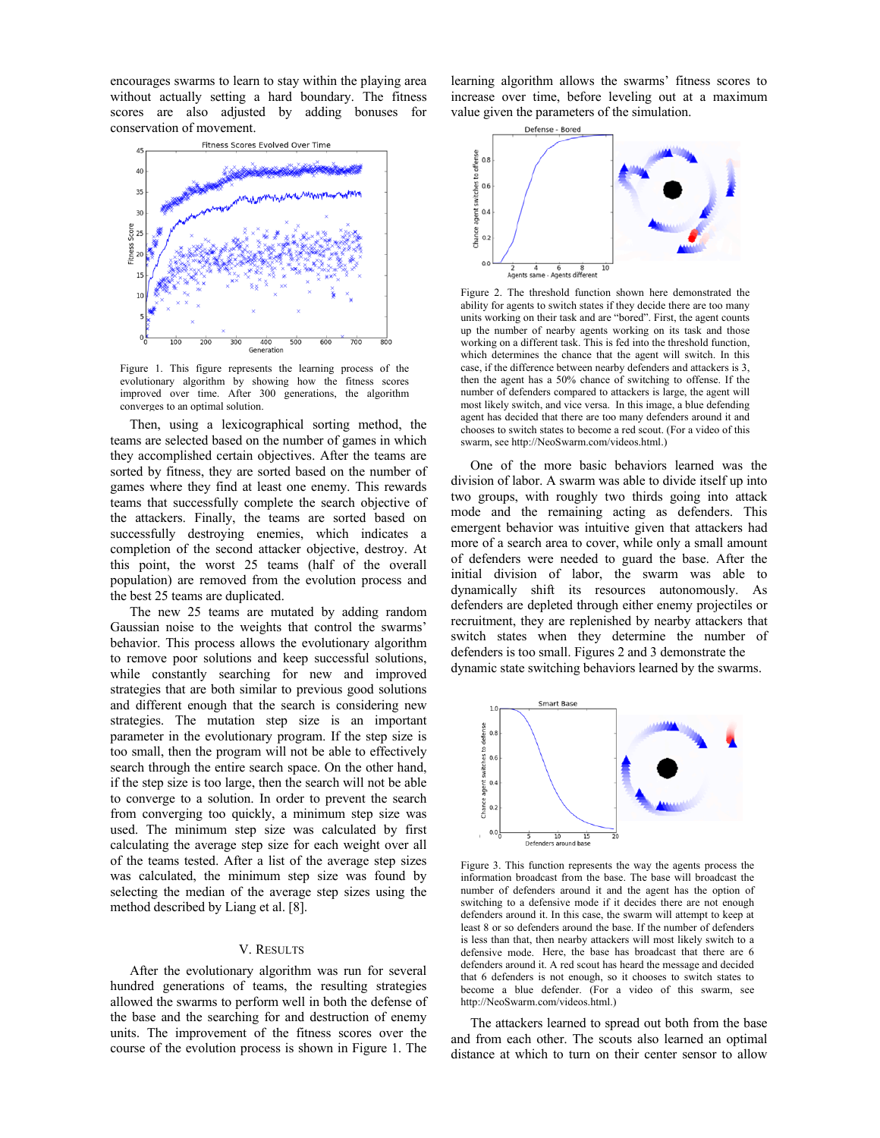encourages swarms to learn to stay within the playing area without actually setting a hard boundary. The fitness scores are also adjusted by adding bonuses for conservation of movement.



Figure 1. This figure represents the learning process of the evolutionary algorithm by showing how the fitness scores improved over time. After 300 generations, the algorithm converges to an optimal solution.

Then, using a lexicographical sorting method, the teams are selected based on the number of games in which they accomplished certain objectives. After the teams are sorted by fitness, they are sorted based on the number of games where they find at least one enemy. This rewards teams that successfully complete the search objective of the attackers. Finally, the teams are sorted based on successfully destroying enemies, which indicates a completion of the second attacker objective, destroy. At this point, the worst 25 teams (half of the overall population) are removed from the evolution process and the best 25 teams are duplicated.

The new 25 teams are mutated by adding random Gaussian noise to the weights that control the swarms' behavior. This process allows the evolutionary algorithm to remove poor solutions and keep successful solutions, while constantly searching for new and improved strategies that are both similar to previous good solutions and different enough that the search is considering new strategies. The mutation step size is an important parameter in the evolutionary program. If the step size is too small, then the program will not be able to effectively search through the entire search space. On the other hand, if the step size is too large, then the search will not be able to converge to a solution. In order to prevent the search from converging too quickly, a minimum step size was used. The minimum step size was calculated by first calculating the average step size for each weight over all of the teams tested. After a list of the average step sizes was calculated, the minimum step size was found by selecting the median of the average step sizes using the method described by Liang et al. [8].

#### V. RESULTS

After the evolutionary algorithm was run for several hundred generations of teams, the resulting strategies allowed the swarms to perform well in both the defense of the base and the searching for and destruction of enemy units. The improvement of the fitness scores over the course of the evolution process is shown in Figure 1. The

learning algorithm allows the swarms' fitness scores to increase over time, before leveling out at a maximum value given the parameters of the simulation.



Figure 2. The threshold function shown here demonstrated the ability for agents to switch states if they decide there are too many units working on their task and are "bored". First, the agent counts up the number of nearby agents working on its task and those working on a different task. This is fed into the threshold function. which determines the chance that the agent will switch. In this case, if the difference between nearby defenders and attackers is 3, then the agent has a 50% chance of switching to offense. If the number of defenders compared to attackers is large, the agent will most likely switch, and vice versa. In this image, a blue defending agent has decided that there are too many defenders around it and chooses to switch states to become a red scout. (For a video of this swarm, see http://NeoSwarm.com/videos.html.)

One of the more basic behaviors learned was the division of labor. A swarm was able to divide itself up into two groups, with roughly two thirds going into attack mode and the remaining acting as defenders. This emergent behavior was intuitive given that attackers had more of a search area to cover, while only a small amount of defenders were needed to guard the base. After the initial division of labor, the swarm was able to dynamically shift its resources autonomously. As defenders are depleted through either enemy projectiles or recruitment, they are replenished by nearby attackers that switch states when they determine the number of defenders is too small. Figures 2 and 3 demonstrate the dynamic state switching behaviors learned by the swarms.



Figure 3. This function represents the way the agents process the information broadcast from the base. The base will broadcast the number of defenders around it and the agent has the option of switching to a defensive mode if it decides there are not enough defenders around it. In this case, the swarm will attempt to keep at least 8 or so defenders around the base. If the number of defenders is less than that, then nearby attackers will most likely switch to a defensive mode. Here, the base has broadcast that there are 6 defenders around it. A red scout has heard the message and decided that 6 defenders is not enough, so it chooses to switch states to become a blue defender. (For a video of this swarm, see http://NeoSwarm.com/videos.html.)

The attackers learned to spread out both from the base and from each other. The scouts also learned an optimal distance at which to turn on their center sensor to allow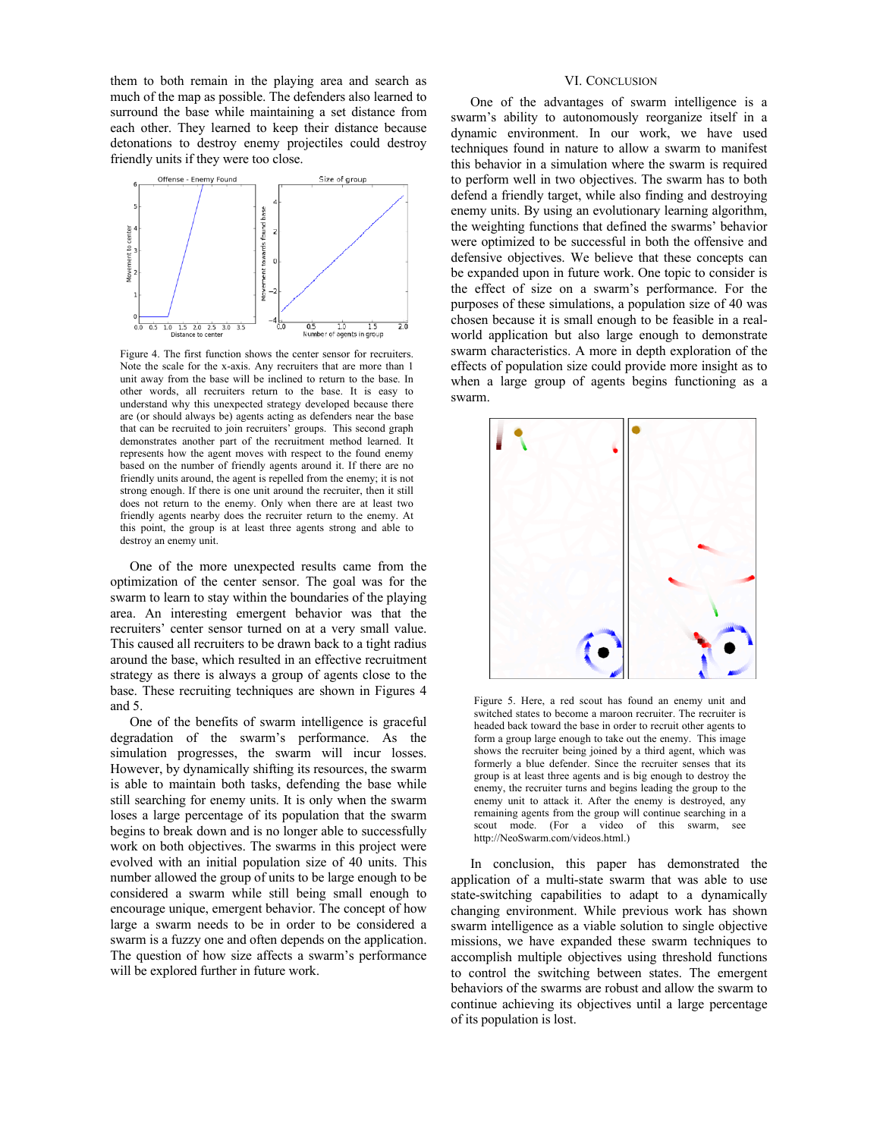them to both remain in the playing area and search as much of the map as possible. The defenders also learned to surround the base while maintaining a set distance from each other. They learned to keep their distance because detonations to destroy enemy projectiles could destroy friendly units if they were too close.



Figure 4. The first function shows the center sensor for recruiters. Note the scale for the x-axis. Any recruiters that are more than 1 unit away from the base will be inclined to return to the base. In other words, all recruiters return to the base. It is easy to understand why this unexpected strategy developed because there are (or should always be) agents acting as defenders near the base that can be recruited to join recruiters' groups. This second graph demonstrates another part of the recruitment method learned. It represents how the agent moves with respect to the found enemy based on the number of friendly agents around it. If there are no friendly units around, the agent is repelled from the enemy; it is not strong enough. If there is one unit around the recruiter, then it still does not return to the enemy. Only when there are at least two friendly agents nearby does the recruiter return to the enemy. At this point, the group is at least three agents strong and able to destroy an enemy unit.

One of the more unexpected results came from the optimization of the center sensor. The goal was for the swarm to learn to stay within the boundaries of the playing area. An interesting emergent behavior was that the recruiters' center sensor turned on at a very small value. This caused all recruiters to be drawn back to a tight radius around the base, which resulted in an effective recruitment strategy as there is always a group of agents close to the base. These recruiting techniques are shown in Figures 4 and 5.

One of the benefits of swarm intelligence is graceful degradation of the swarm's performance. As the simulation progresses, the swarm will incur losses. However, by dynamically shifting its resources, the swarm is able to maintain both tasks, defending the base while still searching for enemy units. It is only when the swarm loses a large percentage of its population that the swarm begins to break down and is no longer able to successfully work on both objectives. The swarms in this project were evolved with an initial population size of 40 units. This number allowed the group of units to be large enough to be considered a swarm while still being small enough to encourage unique, emergent behavior. The concept of how large a swarm needs to be in order to be considered a swarm is a fuzzy one and often depends on the application. The question of how size affects a swarm's performance will be explored further in future work.

# VI. CONCLUSION

One of the advantages of swarm intelligence is a swarm's ability to autonomously reorganize itself in a dynamic environment. In our work, we have used techniques found in nature to allow a swarm to manifest this behavior in a simulation where the swarm is required to perform well in two objectives. The swarm has to both defend a friendly target, while also finding and destroying enemy units. By using an evolutionary learning algorithm, the weighting functions that defined the swarms' behavior were optimized to be successful in both the offensive and defensive objectives. We believe that these concepts can be expanded upon in future work. One topic to consider is the effect of size on a swarm's performance. For the purposes of these simulations, a population size of 40 was chosen because it is small enough to be feasible in a realworld application but also large enough to demonstrate swarm characteristics. A more in depth exploration of the effects of population size could provide more insight as to when a large group of agents begins functioning as a swarm.



Figure 5. Here, a red scout has found an enemy unit and switched states to become a maroon recruiter. The recruiter is headed back toward the base in order to recruit other agents to form a group large enough to take out the enemy. This image shows the recruiter being joined by a third agent, which was formerly a blue defender. Since the recruiter senses that its group is at least three agents and is big enough to destroy the enemy, the recruiter turns and begins leading the group to the enemy unit to attack it. After the enemy is destroyed, any remaining agents from the group will continue searching in a scout mode. (For a video of this swarm, see http://NeoSwarm.com/videos.html.)

In conclusion, this paper has demonstrated the application of a multi-state swarm that was able to use state-switching capabilities to adapt to a dynamically changing environment. While previous work has shown swarm intelligence as a viable solution to single objective missions, we have expanded these swarm techniques to accomplish multiple objectives using threshold functions to control the switching between states. The emergent behaviors of the swarms are robust and allow the swarm to continue achieving its objectives until a large percentage of its population is lost.